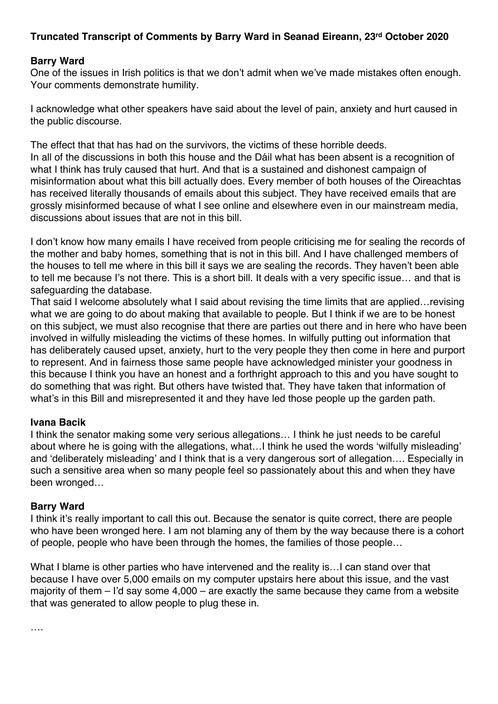# **Truncated Transcript of Comments by Barry Ward in Seanad Eireann, 23rd October 2020**

### **Barry Ward**

One of the issues in Irish politics is that we don't admit when we've made mistakes often enough. Your comments demonstrate humility.

I acknowledge what other speakers have said about the level of pain, anxiety and hurt caused in the public discourse.

The effect that that has had on the survivors, the victims of these horrible deeds. In all of the discussions in both this house and the Dáil what has been absent is a recognition of what I think has truly caused that hurt. And that is a sustained and dishonest campaign of misinformation about what this bill actually does. Every member of both houses of the Oireachtas has received literally thousands of emails about this subject. They have received emails that are grossly misinformed because of what I see online and elsewhere even in our mainstream media, discussions about issues that are not in this bill.

I don't know how many emails I have received from people criticising me for sealing the records of the mother and baby homes, something that is not in this bill. And I have challenged members of the houses to tell me where in this bill it says we are sealing the records. They haven't been able to tell me because I's not there. This is a short bill. It deals with a very specific issue… and that is safeguarding the database.

That said I welcome absolutely what I said about revising the time limits that are applied…revising what we are going to do about making that available to people. But I think if we are to be honest on this subject, we must also recognise that there are parties out there and in here who have been involved in wilfully misleading the victims of these homes. In wilfully putting out information that has deliberately caused upset, anxiety, hurt to the very people they then come in here and purport to represent. And in fairness those same people have acknowledged minister your goodness in this because I think you have an honest and a forthright approach to this and you have sought to do something that was right. But others have twisted that. They have taken that information of what's in this Bill and misrepresented it and they have led those people up the garden path.

#### **Ivana Bacik**

I think the senator making some very serious allegations… I think he just needs to be careful about where he is going with the allegations, what…I think he used the words 'wilfully misleading' and 'deliberately misleading' and I think that is a very dangerous sort of allegation…. Especially in such a sensitive area when so many people feel so passionately about this and when they have been wronged…

#### **Barry Ward**

I think it's really important to call this out. Because the senator is quite correct, there are people who have been wronged here. I am not blaming any of them by the way because there is a cohort of people, people who have been through the homes, the families of those people…

What I blame is other parties who have intervened and the reality is... I can stand over that because I have over 5,000 emails on my computer upstairs here about this issue, and the vast majority of them – I'd say some 4,000 – are exactly the same because they came from a website that was generated to allow people to plug these in.

….